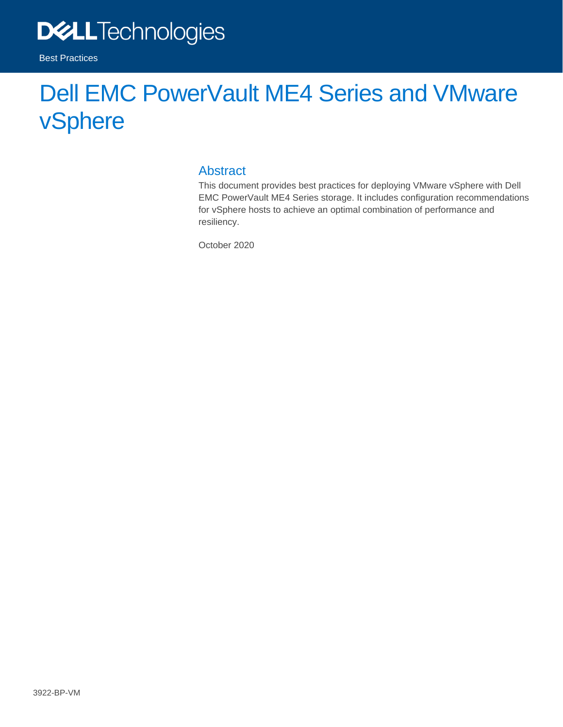

# Dell EMC PowerVault ME4 Series and VMware vSphere

#### Abstract

This document provides best practices for deploying VMware vSphere with Dell EMC PowerVault ME4 Series storage. It includes configuration recommendations for vSphere hosts to achieve an optimal combination of performance and resiliency.

October 2020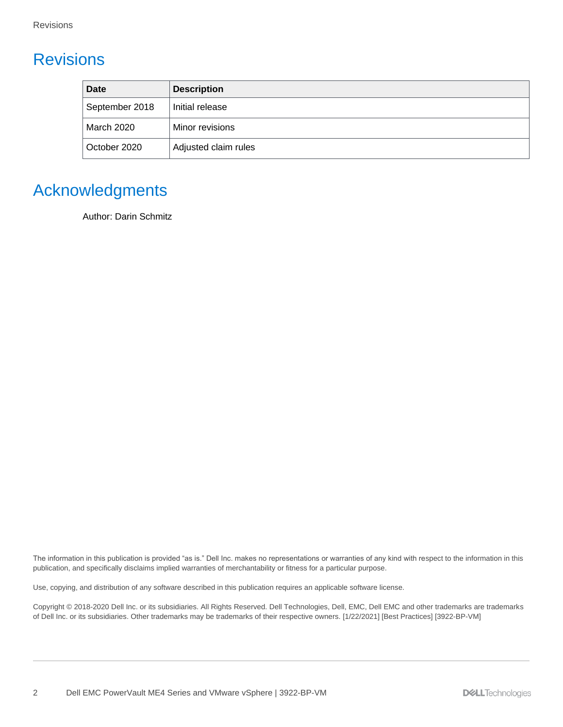## <span id="page-1-0"></span>**Revisions**

| <b>Date</b>       | <b>Description</b>   |  |
|-------------------|----------------------|--|
| September 2018    | Initial release      |  |
| <b>March 2020</b> | Minor revisions      |  |
| October 2020      | Adjusted claim rules |  |

## <span id="page-1-1"></span>Acknowledgments

Author: Darin Schmitz

The information in this publication is provided "as is." Dell Inc. makes no representations or warranties of any kind with respect to the information in this publication, and specifically disclaims implied warranties of merchantability or fitness for a particular purpose.

Use, copying, and distribution of any software described in this publication requires an applicable software license.

Copyright © 2018-2020 Dell Inc. or its subsidiaries. All Rights Reserved. Dell Technologies, Dell, EMC, Dell EMC and other trademarks are trademarks of Dell Inc. or its subsidiaries. Other trademarks may be trademarks of their respective owners. [1/22/2021] [Best Practices] [3922-BP-VM]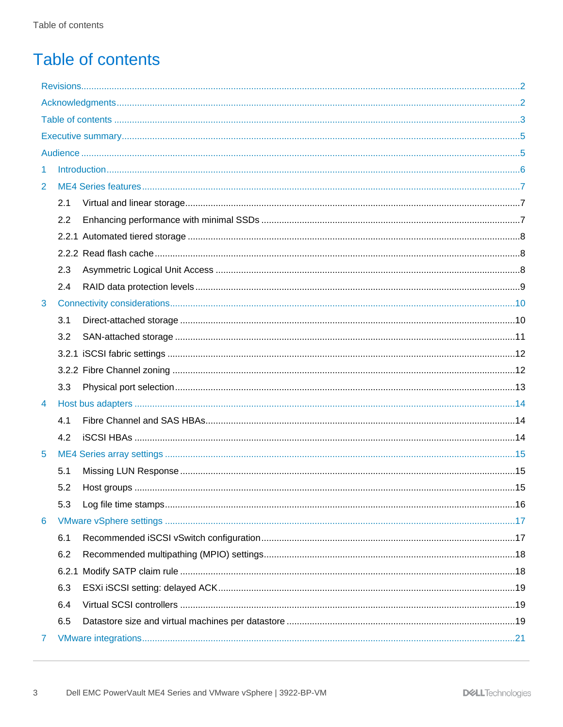## <span id="page-2-0"></span>Table of contents

| 1              |       |  |
|----------------|-------|--|
| 2              |       |  |
|                | 2.1   |  |
|                | 2.2   |  |
|                |       |  |
|                |       |  |
|                | 2.3   |  |
|                | 2.4   |  |
| 3              |       |  |
|                | 3.1   |  |
|                | 3.2   |  |
|                |       |  |
|                |       |  |
|                | 3.3   |  |
| $\overline{4}$ |       |  |
|                | 4.1   |  |
|                | 4.2   |  |
| 5              |       |  |
|                | 5.1   |  |
|                | 5.2   |  |
|                | 5.3   |  |
| 6              |       |  |
|                | 6.1   |  |
|                | 6.2   |  |
|                | 6.2.1 |  |
|                | 6.3   |  |
|                | 6.4   |  |
|                | 6.5   |  |
| 7              |       |  |
|                |       |  |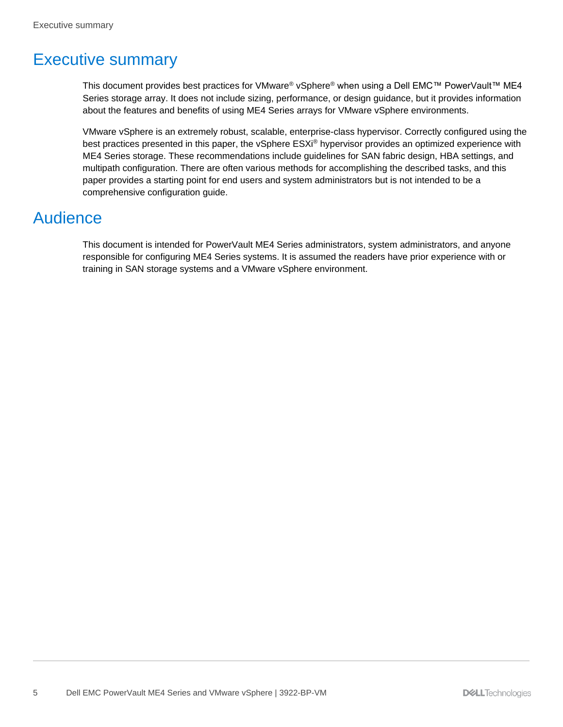## <span id="page-4-0"></span>Executive summary

This document provides best practices for VMware® vSphere® when using a Dell EMC™ PowerVault™ ME4 Series storage array. It does not include sizing, performance, or design guidance, but it provides information about the features and benefits of using ME4 Series arrays for VMware vSphere environments.

VMware vSphere is an extremely robust, scalable, enterprise-class hypervisor. Correctly configured using the best practices presented in this paper, the vSphere ESXi® hypervisor provides an optimized experience with ME4 Series storage. These recommendations include guidelines for SAN fabric design, HBA settings, and multipath configuration. There are often various methods for accomplishing the described tasks, and this paper provides a starting point for end users and system administrators but is not intended to be a comprehensive configuration guide.

## <span id="page-4-1"></span>Audience

This document is intended for PowerVault ME4 Series administrators, system administrators, and anyone responsible for configuring ME4 Series systems. It is assumed the readers have prior experience with or training in SAN storage systems and a VMware vSphere environment.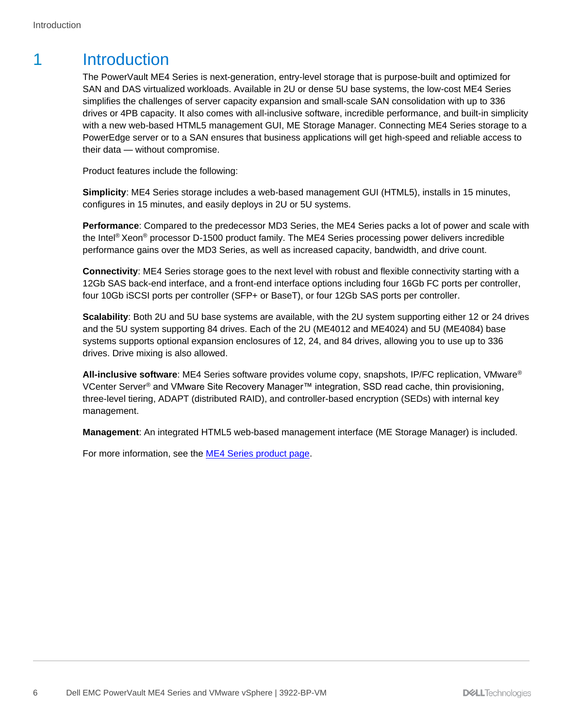## <span id="page-5-0"></span>1 Introduction

The PowerVault ME4 Series is next-generation, entry-level storage that is purpose-built and optimized for SAN and DAS virtualized workloads. Available in 2U or dense 5U base systems, the low-cost ME4 Series simplifies the challenges of server capacity expansion and small-scale SAN consolidation with up to 336 drives or 4PB capacity. It also comes with all-inclusive software, incredible performance, and built-in simplicity with a new web-based HTML5 management GUI, ME Storage Manager. Connecting ME4 Series storage to a PowerEdge server or to a SAN ensures that business applications will get high-speed and reliable access to their data — without compromise.

Product features include the following:

**Simplicity**: ME4 Series storage includes a web-based management GUI (HTML5), installs in 15 minutes, configures in 15 minutes, and easily deploys in 2U or 5U systems.

**Performance**: Compared to the predecessor MD3 Series, the ME4 Series packs a lot of power and scale with the Intel<sup>®</sup> Xeon<sup>®</sup> processor D-1500 product family. The ME4 Series processing power delivers incredible performance gains over the MD3 Series, as well as increased capacity, bandwidth, and drive count.

**Connectivity**: ME4 Series storage goes to the next level with robust and flexible connectivity starting with a 12Gb SAS back-end interface, and a front-end interface options including four 16Gb FC ports per controller, four 10Gb iSCSI ports per controller (SFP+ or BaseT), or four 12Gb SAS ports per controller.

**Scalability**: Both 2U and 5U base systems are available, with the 2U system supporting either 12 or 24 drives and the 5U system supporting 84 drives. Each of the 2U (ME4012 and ME4024) and 5U (ME4084) base systems supports optional expansion enclosures of 12, 24, and 84 drives, allowing you to use up to 336 drives. Drive mixing is also allowed.

**All-inclusive software**: ME4 Series software provides volume copy, snapshots, IP/FC replication, VMware® VCenter Server<sup>®</sup> and VMware Site Recovery Manager™ integration, SSD read cache, thin provisioning, three-level tiering, ADAPT (distributed RAID), and controller-based encryption (SEDs) with internal key management.

**Management**: An integrated HTML5 web-based management interface (ME Storage Manager) is included.

For more information, see the **ME4 Series product page**.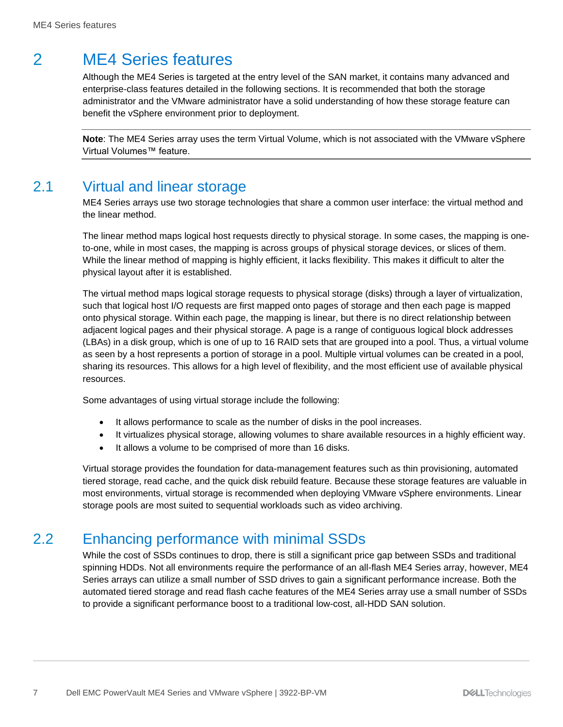## <span id="page-6-0"></span>2 ME4 Series features

Although the ME4 Series is targeted at the entry level of the SAN market, it contains many advanced and enterprise-class features detailed in the following sections. It is recommended that both the storage administrator and the VMware administrator have a solid understanding of how these storage feature can benefit the vSphere environment prior to deployment.

**Note**: The ME4 Series array uses the term Virtual Volume, which is not associated with the VMware vSphere Virtual Volumes™ feature.

### <span id="page-6-1"></span>2.1 Virtual and linear storage

ME4 Series arrays use two storage technologies that share a common user interface: the virtual method and the linear method.

The linear method maps logical host requests directly to physical storage. In some cases, the mapping is oneto-one, while in most cases, the mapping is across groups of physical storage devices, or slices of them. While the linear method of mapping is highly efficient, it lacks flexibility. This makes it difficult to alter the physical layout after it is established.

The virtual method maps logical storage requests to physical storage (disks) through a layer of virtualization, such that logical host I/O requests are first mapped onto pages of storage and then each page is mapped onto physical storage. Within each page, the mapping is linear, but there is no direct relationship between adjacent logical pages and their physical storage. A page is a range of contiguous logical block addresses (LBAs) in a disk group, which is one of up to 16 RAID sets that are grouped into a pool. Thus, a virtual volume as seen by a host represents a portion of storage in a pool. Multiple virtual volumes can be created in a pool, sharing its resources. This allows for a high level of flexibility, and the most efficient use of available physical resources.

Some advantages of using virtual storage include the following:

- It allows performance to scale as the number of disks in the pool increases.
- It virtualizes physical storage, allowing volumes to share available resources in a highly efficient way.
- It allows a volume to be comprised of more than 16 disks.

Virtual storage provides the foundation for data-management features such as thin provisioning, automated tiered storage, read cache, and the quick disk rebuild feature. Because these storage features are valuable in most environments, virtual storage is recommended when deploying VMware vSphere environments. Linear storage pools are most suited to sequential workloads such as video archiving.

### <span id="page-6-2"></span>2.2 Enhancing performance with minimal SSDs

While the cost of SSDs continues to drop, there is still a significant price gap between SSDs and traditional spinning HDDs. Not all environments require the performance of an all-flash ME4 Series array, however, ME4 Series arrays can utilize a small number of SSD drives to gain a significant performance increase. Both the automated tiered storage and read flash cache features of the ME4 Series array use a small number of SSDs to provide a significant performance boost to a traditional low-cost, all-HDD SAN solution.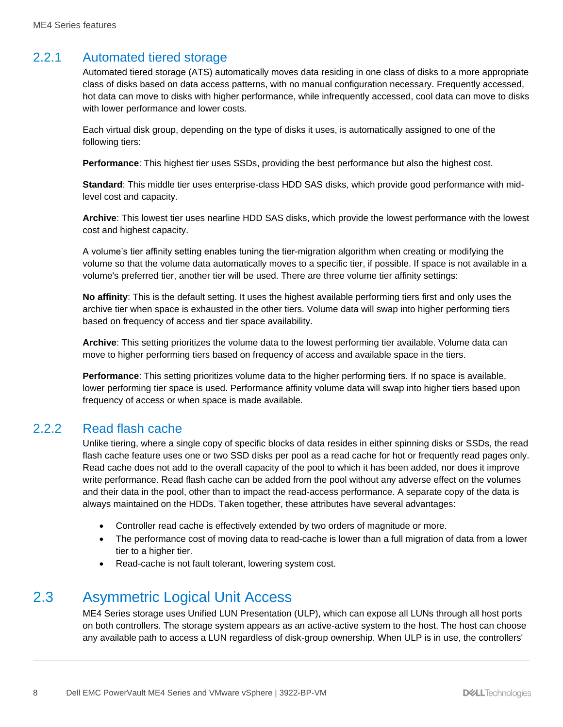#### <span id="page-7-0"></span>2.2.1 Automated tiered storage

Automated tiered storage (ATS) automatically moves data residing in one class of disks to a more appropriate class of disks based on data access patterns, with no manual configuration necessary. Frequently accessed, hot data can move to disks with higher performance, while infrequently accessed, cool data can move to disks with lower performance and lower costs.

Each virtual disk group, depending on the type of disks it uses, is automatically assigned to one of the following tiers:

**Performance**: This highest tier uses SSDs, providing the best performance but also the highest cost.

**Standard**: This middle tier uses enterprise-class HDD SAS disks, which provide good performance with midlevel cost and capacity.

**Archive**: This lowest tier uses nearline HDD SAS disks, which provide the lowest performance with the lowest cost and highest capacity.

A volume's tier affinity setting enables tuning the tier-migration algorithm when creating or modifying the volume so that the volume data automatically moves to a specific tier, if possible. If space is not available in a volume's preferred tier, another tier will be used. There are three volume tier affinity settings:

**No affinity**: This is the default setting. It uses the highest available performing tiers first and only uses the archive tier when space is exhausted in the other tiers. Volume data will swap into higher performing tiers based on frequency of access and tier space availability.

**Archive**: This setting prioritizes the volume data to the lowest performing tier available. Volume data can move to higher performing tiers based on frequency of access and available space in the tiers.

**Performance**: This setting prioritizes volume data to the higher performing tiers. If no space is available, lower performing tier space is used. Performance affinity volume data will swap into higher tiers based upon frequency of access or when space is made available.

#### <span id="page-7-1"></span>2.2.2 Read flash cache

Unlike tiering, where a single copy of specific blocks of data resides in either spinning disks or SSDs, the read flash cache feature uses one or two SSD disks per pool as a read cache for hot or frequently read pages only. Read cache does not add to the overall capacity of the pool to which it has been added, nor does it improve write performance. Read flash cache can be added from the pool without any adverse effect on the volumes and their data in the pool, other than to impact the read-access performance. A separate copy of the data is always maintained on the HDDs. Taken together, these attributes have several advantages:

- Controller read cache is effectively extended by two orders of magnitude or more.
- The performance cost of moving data to read-cache is lower than a full migration of data from a lower tier to a higher tier.
- Read-cache is not fault tolerant, lowering system cost.

### <span id="page-7-2"></span>2.3 Asymmetric Logical Unit Access

ME4 Series storage uses Unified LUN Presentation (ULP), which can expose all LUNs through all host ports on both controllers. The storage system appears as an active-active system to the host. The host can choose any available path to access a LUN regardless of disk-group ownership. When ULP is in use, the controllers'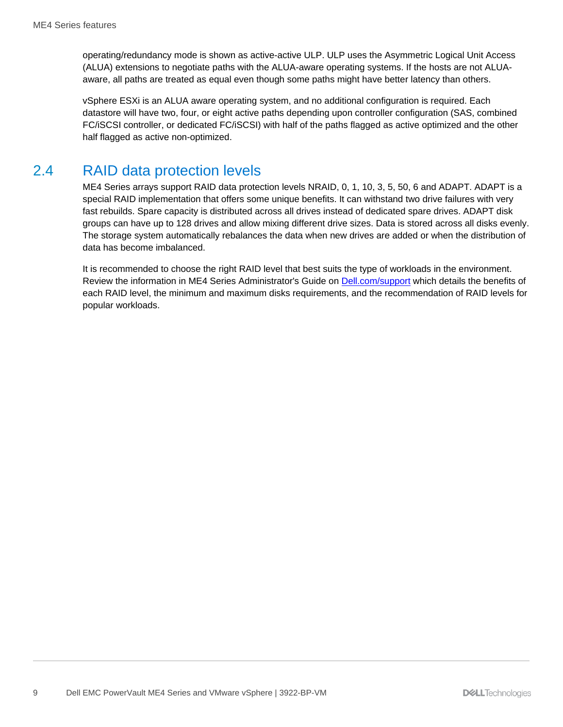operating/redundancy mode is shown as active-active ULP. ULP uses the Asymmetric Logical Unit Access (ALUA) extensions to negotiate paths with the ALUA-aware operating systems. If the hosts are not ALUAaware, all paths are treated as equal even though some paths might have better latency than others.

vSphere ESXi is an ALUA aware operating system, and no additional configuration is required. Each datastore will have two, four, or eight active paths depending upon controller configuration (SAS, combined FC/iSCSI controller, or dedicated FC/iSCSI) with half of the paths flagged as active optimized and the other half flagged as active non-optimized.

#### <span id="page-8-0"></span>2.4 RAID data protection levels

ME4 Series arrays support RAID data protection levels NRAID, 0, 1, 10, 3, 5, 50, 6 and ADAPT. ADAPT is a special RAID implementation that offers some unique benefits. It can withstand two drive failures with very fast rebuilds. Spare capacity is distributed across all drives instead of dedicated spare drives. ADAPT disk groups can have up to 128 drives and allow mixing different drive sizes. Data is stored across all disks evenly. The storage system automatically rebalances the data when new drives are added or when the distribution of data has become imbalanced.

It is recommended to choose the right RAID level that best suits the type of workloads in the environment. Review the information in ME4 Series Administrator's Guide on [Dell.com/support](http://www.dell.com/support) which details the benefits of each RAID level, the minimum and maximum disks requirements, and the recommendation of RAID levels for popular workloads.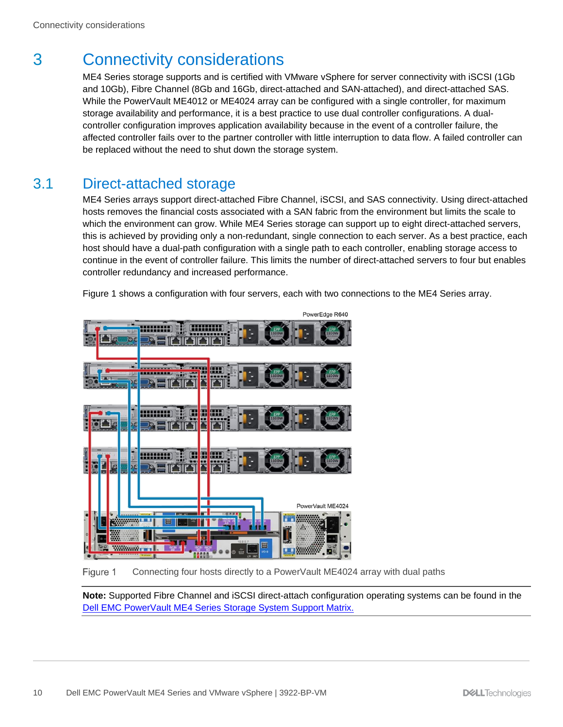## <span id="page-9-0"></span>3 Connectivity considerations

ME4 Series storage supports and is certified with VMware vSphere for server connectivity with iSCSI (1Gb and 10Gb), Fibre Channel (8Gb and 16Gb, direct-attached and SAN-attached), and direct-attached SAS. While the PowerVault ME4012 or ME4024 array can be configured with a single controller, for maximum storage availability and performance, it is a best practice to use dual controller configurations. A dualcontroller configuration improves application availability because in the event of a controller failure, the affected controller fails over to the partner controller with little interruption to data flow. A failed controller can be replaced without the need to shut down the storage system.

### <span id="page-9-1"></span>3.1 Direct-attached storage

ME4 Series arrays support direct-attached Fibre Channel, iSCSI, and SAS connectivity. Using direct-attached hosts removes the financial costs associated with a SAN fabric from the environment but limits the scale to which the environment can grow. While ME4 Series storage can support up to eight direct-attached servers, this is achieved by providing only a non-redundant, single connection to each server. As a best practice, each host should have a dual-path configuration with a single path to each controller, enabling storage access to continue in the event of controller failure. This limits the number of direct-attached servers to four but enables controller redundancy and increased performance.

Figure 1 shows a configuration with four servers, each with two connections to the ME4 Series array.



Figure 1 Connecting four hosts directly to a PowerVault ME4024 array with dual paths

**Note:** Supported Fibre Channel and iSCSI direct-attach configuration operating systems can be found in the [Dell EMC PowerVault ME4 Series Storage System Support Matrix.](https://dl.dell.com/topicspdf/me4-series-sm_en-us.pdf)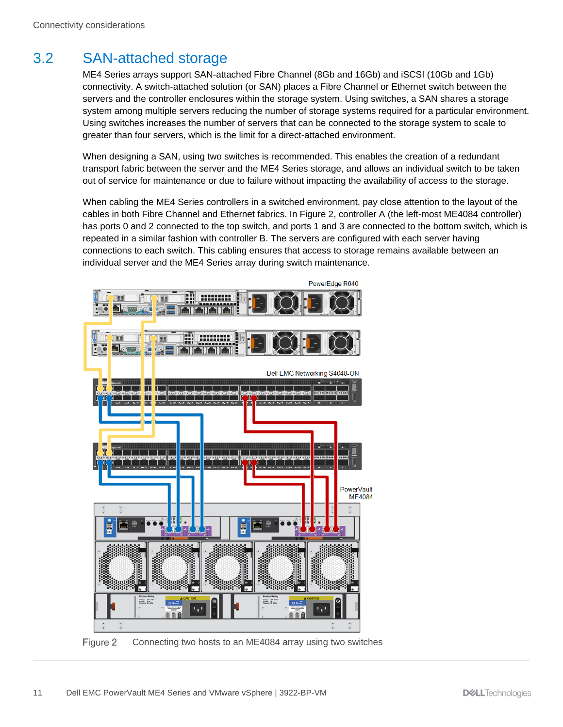## <span id="page-10-0"></span>3.2 SAN-attached storage

ME4 Series arrays support SAN-attached Fibre Channel (8Gb and 16Gb) and iSCSI (10Gb and 1Gb) connectivity. A switch-attached solution (or SAN) places a Fibre Channel or Ethernet switch between the servers and the controller enclosures within the storage system. Using switches, a SAN shares a storage system among multiple servers reducing the number of storage systems required for a particular environment. Using switches increases the number of servers that can be connected to the storage system to scale to greater than four servers, which is the limit for a direct-attached environment.

When designing a SAN, using two switches is recommended. This enables the creation of a redundant transport fabric between the server and the ME4 Series storage, and allows an individual switch to be taken out of service for maintenance or due to failure without impacting the availability of access to the storage.

When cabling the ME4 Series controllers in a switched environment, pay close attention to the layout of the cables in both Fibre Channel and Ethernet fabrics. In Figure 2, controller A (the left-most ME4084 controller) has ports 0 and 2 connected to the top switch, and ports 1 and 3 are connected to the bottom switch, which is repeated in a similar fashion with controller B. The servers are configured with each server having connections to each switch. This cabling ensures that access to storage remains available between an individual server and the ME4 Series array during switch maintenance.



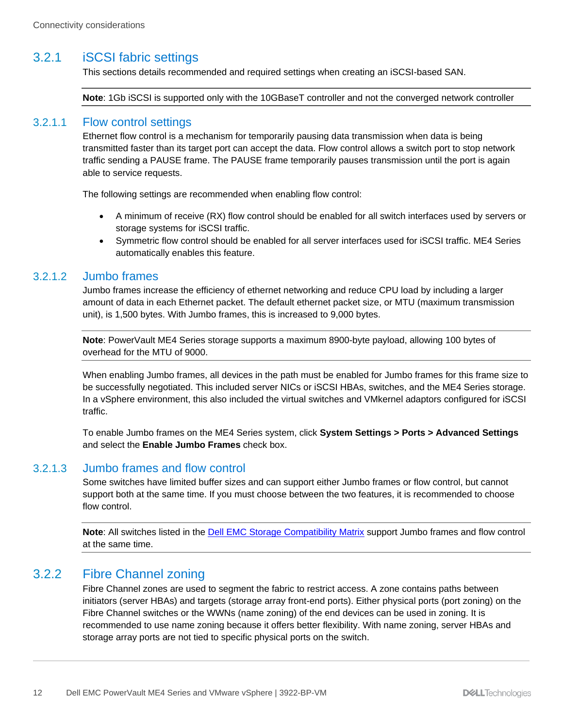#### <span id="page-11-0"></span>3.2.1 iSCSI fabric settings

This sections details recommended and required settings when creating an iSCSI-based SAN.

**Note**: 1Gb iSCSI is supported only with the 10GBaseT controller and not the converged network controller

#### 3.2.1.1 Flow control settings

Ethernet flow control is a mechanism for temporarily pausing data transmission when data is being transmitted faster than its target port can accept the data. Flow control allows a switch port to stop network traffic sending a PAUSE frame. The PAUSE frame temporarily pauses transmission until the port is again able to service requests.

The following settings are recommended when enabling flow control:

- A minimum of receive (RX) flow control should be enabled for all switch interfaces used by servers or storage systems for iSCSI traffic.
- Symmetric flow control should be enabled for all server interfaces used for iSCSI traffic. ME4 Series automatically enables this feature.

#### 3.2.1.2 Jumbo frames

Jumbo frames increase the efficiency of ethernet networking and reduce CPU load by including a larger amount of data in each Ethernet packet. The default ethernet packet size, or MTU (maximum transmission unit), is 1,500 bytes. With Jumbo frames, this is increased to 9,000 bytes.

**Note**: PowerVault ME4 Series storage supports a maximum 8900-byte payload, allowing 100 bytes of overhead for the MTU of 9000.

When enabling Jumbo frames, all devices in the path must be enabled for Jumbo frames for this frame size to be successfully negotiated. This included server NICs or iSCSI HBAs, switches, and the ME4 Series storage. In a vSphere environment, this also included the virtual switches and VMkernel adaptors configured for iSCSI traffic.

To enable Jumbo frames on the ME4 Series system, click **System Settings > Ports > Advanced Settings** and select the **Enable Jumbo Frames** check box.

#### 3.2.1.3 Jumbo frames and flow control

Some switches have limited buffer sizes and can support either Jumbo frames or flow control, but cannot support both at the same time. If you must choose between the two features, it is recommended to choose flow control.

**Note**: All switches listed in the [Dell EMC Storage Compatibility Matrix](https://downloads.dell.com/manuals/all-products/esuprt_solutions_int/esuprt_solutions_int_solutions_resources/general-solution-resources_white-papers2_en-us.pdf) support Jumbo frames and flow control at the same time.

#### <span id="page-11-1"></span>3.2.2 Fibre Channel zoning

Fibre Channel zones are used to segment the fabric to restrict access. A zone contains paths between initiators (server HBAs) and targets (storage array front-end ports). Either physical ports (port zoning) on the Fibre Channel switches or the WWNs (name zoning) of the end devices can be used in zoning. It is recommended to use name zoning because it offers better flexibility. With name zoning, server HBAs and storage array ports are not tied to specific physical ports on the switch.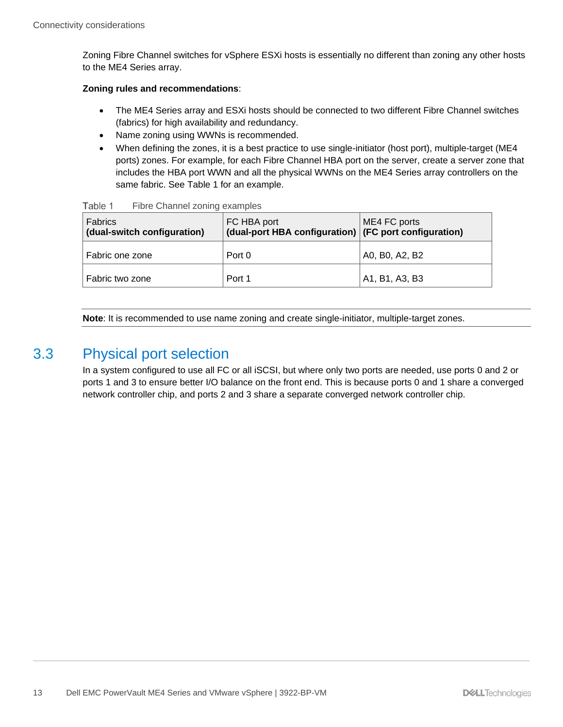Zoning Fibre Channel switches for vSphere ESXi hosts is essentially no different than zoning any other hosts to the ME4 Series array.

#### **Zoning rules and recommendations**:

- The ME4 Series array and ESXi hosts should be connected to two different Fibre Channel switches (fabrics) for high availability and redundancy.
- Name zoning using WWNs is recommended.
- When defining the zones, it is a best practice to use single-initiator (host port), multiple-target (ME4 ports) zones. For example, for each Fibre Channel HBA port on the server, create a server zone that includes the HBA port WWN and all the physical WWNs on the ME4 Series array controllers on the same fabric. See Table 1 for an example.

| Fabrics<br>(dual-switch configuration) | FC HBA port<br>(dual-port HBA configuration) (FC port configuration) | ME4 FC ports   |  |  |  |
|----------------------------------------|----------------------------------------------------------------------|----------------|--|--|--|
| Fabric one zone                        | Port 0                                                               | A0, B0, A2, B2 |  |  |  |
| Fabric two zone                        | Port 1                                                               | A1, B1, A3, B3 |  |  |  |

Table 1 Fibre Channel zoning examples

**Note**: It is recommended to use name zoning and create single-initiator, multiple-target zones.

#### <span id="page-12-0"></span>3.3 Physical port selection

In a system configured to use all FC or all iSCSI, but where only two ports are needed, use ports 0 and 2 or ports 1 and 3 to ensure better I/O balance on the front end. This is because ports 0 and 1 share a converged network controller chip, and ports 2 and 3 share a separate converged network controller chip.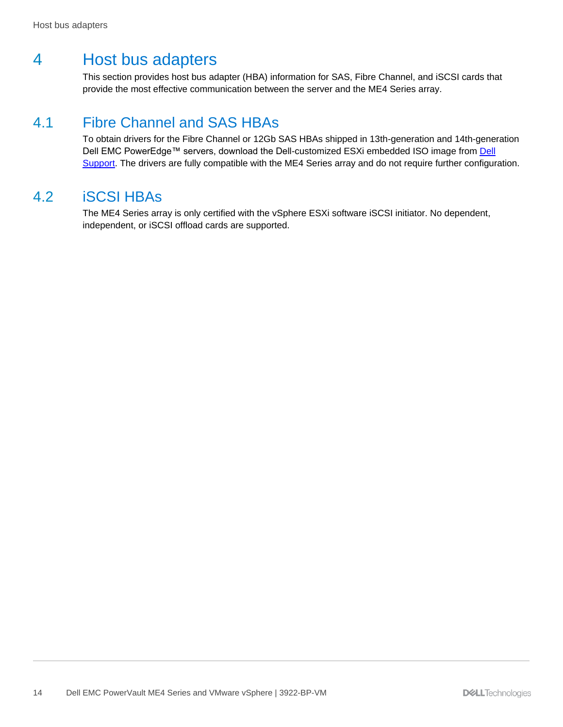## <span id="page-13-0"></span>4 Host bus adapters

This section provides host bus adapter (HBA) information for SAS, Fibre Channel, and iSCSI cards that provide the most effective communication between the server and the ME4 Series array.

#### <span id="page-13-1"></span>4.1 Fibre Channel and SAS HBAs

To obtain drivers for the Fibre Channel or 12Gb SAS HBAs shipped in 13th-generation and 14th-generation Dell EMC PowerEdge™ servers, download the Dell-customized ESXi embedded ISO image from Dell [Support.](https://www.dell.com/support/) The drivers are fully compatible with the ME4 Series array and do not require further configuration.

#### <span id="page-13-2"></span>4.2 iSCSI HBAs

The ME4 Series array is only certified with the vSphere ESXi software iSCSI initiator. No dependent, independent, or iSCSI offload cards are supported.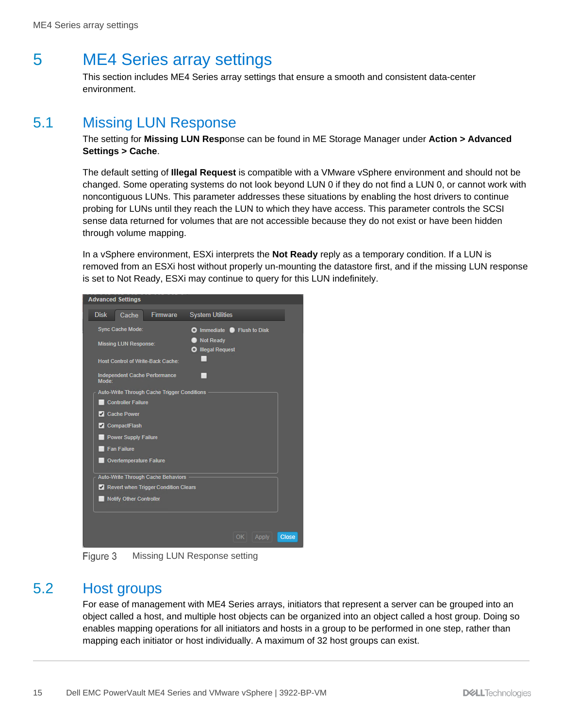## <span id="page-14-0"></span>5 ME4 Series array settings

This section includes ME4 Series array settings that ensure a smooth and consistent data-center environment.

#### <span id="page-14-1"></span>5.1 Missing LUN Response

The setting for **Missing LUN Resp**onse can be found in ME Storage Manager under **Action > Advanced Settings > Cache**.

The default setting of **Illegal Request** is compatible with a VMware vSphere environment and should not be changed. Some operating systems do not look beyond LUN 0 if they do not find a LUN 0, or cannot work with noncontiguous LUNs. This parameter addresses these situations by enabling the host drivers to continue probing for LUNs until they reach the LUN to which they have access. This parameter controls the SCSI sense data returned for volumes that are not accessible because they do not exist or have been hidden through volume mapping.

In a vSphere environment, ESXi interprets the **Not Ready** reply as a temporary condition. If a LUN is removed from an ESXi host without properly un-mounting the datastore first, and if the missing LUN response is set to Not Ready, ESXi may continue to query for this LUN indefinitely.



Missing LUN Response setting Figure 3

#### <span id="page-14-2"></span>5.2 Host groups

For ease of management with ME4 Series arrays, initiators that represent a server can be grouped into an object called a host, and multiple host objects can be organized into an object called a host group. Doing so enables mapping operations for all initiators and hosts in a group to be performed in one step, rather than mapping each initiator or host individually. A maximum of 32 host groups can exist.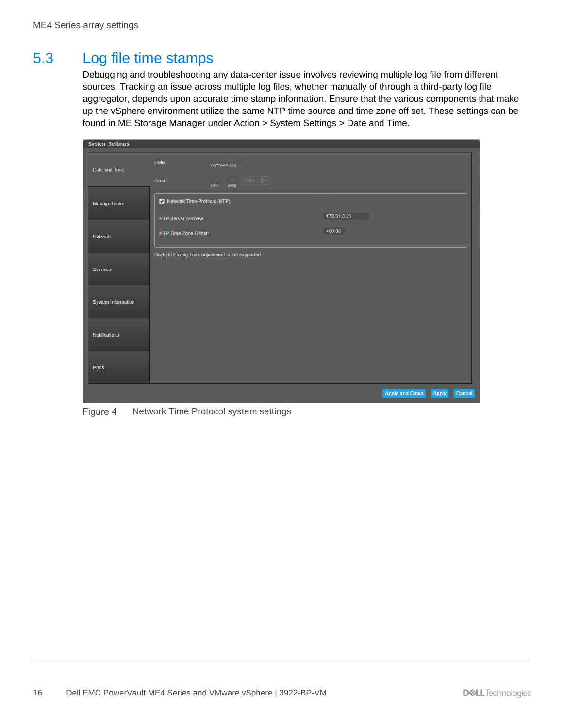### <span id="page-15-0"></span>5.3 Log file time stamps

Debugging and troubleshooting any data-center issue involves reviewing multiple log file from different sources. Tracking an issue across multiple log files, whether manually of through a third-party log file aggregator, depends upon accurate time stamp information. Ensure that the various components that make up the vSphere environment utilize the same NTP time source and time zone off set. These settings can be found in ME Storage Manager under Action > System Settings > Date and Time.

| <b>System Settings</b>    |                                                     |                                                                |       |        |
|---------------------------|-----------------------------------------------------|----------------------------------------------------------------|-------|--------|
| Date and Time             | Date:                                               | (YYYY-MM-DD)                                                   |       |        |
|                           | Time:                                               | $24H$ $\rightarrow$<br>$\overline{07}$<br>: 21<br>(MM)<br>(HH) |       |        |
| <b>Manage Users</b>       | Network Time Protocol (NTP)                         | 172.31.0.21                                                    |       |        |
| <b>Network</b>            | <b>NTP Server Address:</b><br>NTP Time Zone Offset: | $+00:00$                                                       |       |        |
| <b>Services</b>           |                                                     | Daylight Saving Time adjustment is not supported.              |       |        |
| <b>System Information</b> |                                                     |                                                                |       |        |
| <b>Notifications</b>      |                                                     |                                                                |       |        |
| Ports                     |                                                     |                                                                |       |        |
|                           |                                                     | Apply and Close                                                | Apply | Cancel |

Figure 4 Network Time Protocol system settings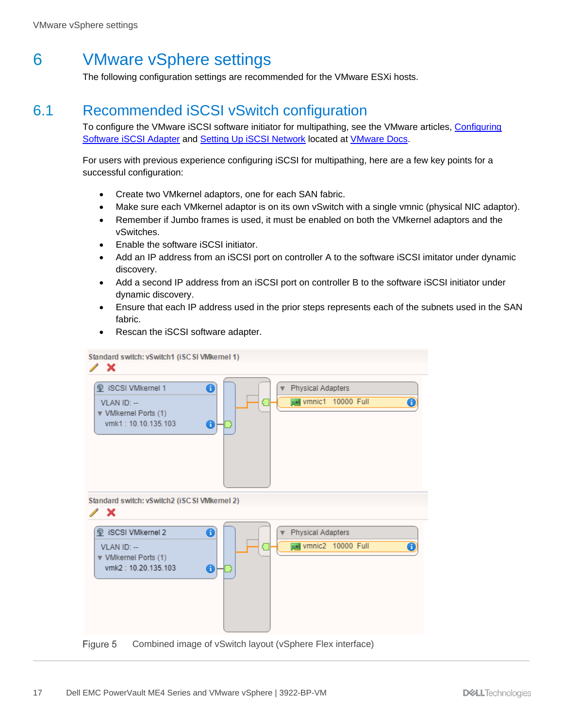## <span id="page-16-0"></span>6 VMware vSphere settings

The following configuration settings are recommended for the VMware ESXi hosts.

### <span id="page-16-1"></span>6.1 Recommended iSCSI vSwitch configuration

To configure the VMware iSCSI software initiator for multipathing, see the VMware articles, [Configuring](https://docs.vmware.com/en/VMware-vSphere/index.html)  [Software iSCSI Adapter](https://docs.vmware.com/en/VMware-vSphere/index.html) and [Setting Up iSCSI Network](https://docs.vmware.com/en/VMware-vSphere/index.html) located at [VMware Docs.](https://docs.vmware.com/en/VMware-vSphere/index.html)

For users with previous experience configuring iSCSI for multipathing, here are a few key points for a successful configuration:

- Create two VMkernel adaptors, one for each SAN fabric.
- Make sure each VMkernel adaptor is on its own vSwitch with a single vmnic (physical NIC adaptor).
- Remember if Jumbo frames is used, it must be enabled on both the VMkernel adaptors and the vSwitches.
- Enable the software iSCSI initiator.
- Add an IP address from an iSCSI port on controller A to the software iSCSI imitator under dynamic discovery.
- Add a second IP address from an iSCSI port on controller B to the software iSCSI initiator under dynamic discovery.
- Ensure that each IP address used in the prior steps represents each of the subnets used in the SAN fabric.
- Rescan the iSCSI software adapter.



Figure 5 Combined image of vSwitch layout (vSphere Flex interface)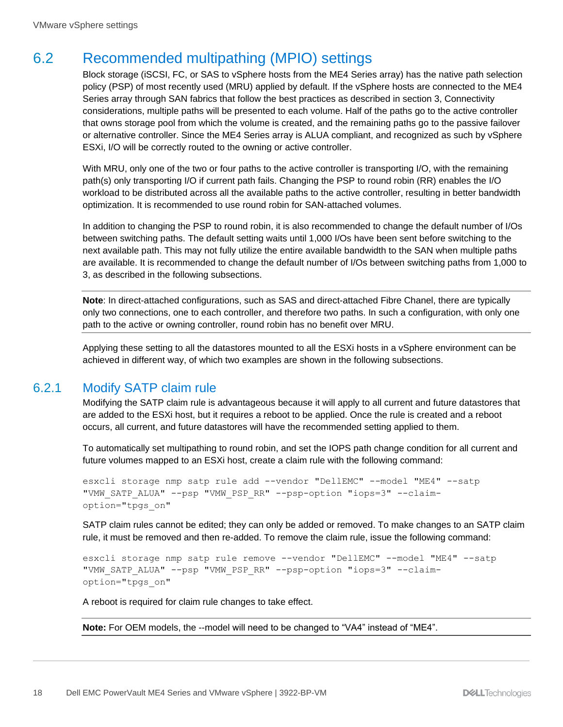#### <span id="page-17-0"></span>6.2 Recommended multipathing (MPIO) settings

Block storage (iSCSI, FC, or SAS to vSphere hosts from the ME4 Series array) has the native path selection policy (PSP) of most recently used (MRU) applied by default. If the vSphere hosts are connected to the ME4 Series array through SAN fabrics that follow the best practices as described in section 3, Connectivity considerations, multiple paths will be presented to each volume. Half of the paths go to the active controller that owns storage pool from which the volume is created, and the remaining paths go to the passive failover or alternative controller. Since the ME4 Series array is ALUA compliant, and recognized as such by vSphere ESXi, I/O will be correctly routed to the owning or active controller.

With MRU, only one of the two or four paths to the active controller is transporting I/O, with the remaining path(s) only transporting I/O if current path fails. Changing the PSP to round robin (RR) enables the I/O workload to be distributed across all the available paths to the active controller, resulting in better bandwidth optimization. It is recommended to use round robin for SAN-attached volumes.

In addition to changing the PSP to round robin, it is also recommended to change the default number of I/Os between switching paths. The default setting waits until 1,000 I/Os have been sent before switching to the next available path. This may not fully utilize the entire available bandwidth to the SAN when multiple paths are available. It is recommended to change the default number of I/Os between switching paths from 1,000 to 3, as described in the following subsections.

**Note**: In direct-attached configurations, such as SAS and direct-attached Fibre Chanel, there are typically only two connections, one to each controller, and therefore two paths. In such a configuration, with only one path to the active or owning controller, round robin has no benefit over MRU.

Applying these setting to all the datastores mounted to all the ESXi hosts in a vSphere environment can be achieved in different way, of which two examples are shown in the following subsections.

#### <span id="page-17-1"></span>6.2.1 Modify SATP claim rule

Modifying the SATP claim rule is advantageous because it will apply to all current and future datastores that are added to the ESXi host, but it requires a reboot to be applied. Once the rule is created and a reboot occurs, all current, and future datastores will have the recommended setting applied to them.

To automatically set multipathing to round robin, and set the IOPS path change condition for all current and future volumes mapped to an ESXi host, create a claim rule with the following command:

```
esxcli storage nmp satp rule add --vendor "DellEMC" --model "ME4" --satp 
"VMW_SATP_ALUA" --psp "VMW_PSP_RR" --psp-option "iops=3" --claim-
option="tpgs_on"
```
SATP claim rules cannot be edited; they can only be added or removed. To make changes to an SATP claim rule, it must be removed and then re-added. To remove the claim rule, issue the following command:

```
esxcli storage nmp satp rule remove --vendor "DellEMC" --model "ME4" --satp 
"VMW SATP ALUA" --psp "VMW PSP RR" --psp-option "iops=3" --claim-
option="tpgs_on"
```
A reboot is required for claim rule changes to take effect.

**Note:** For OEM models, the --model will need to be changed to "VA4" instead of "ME4".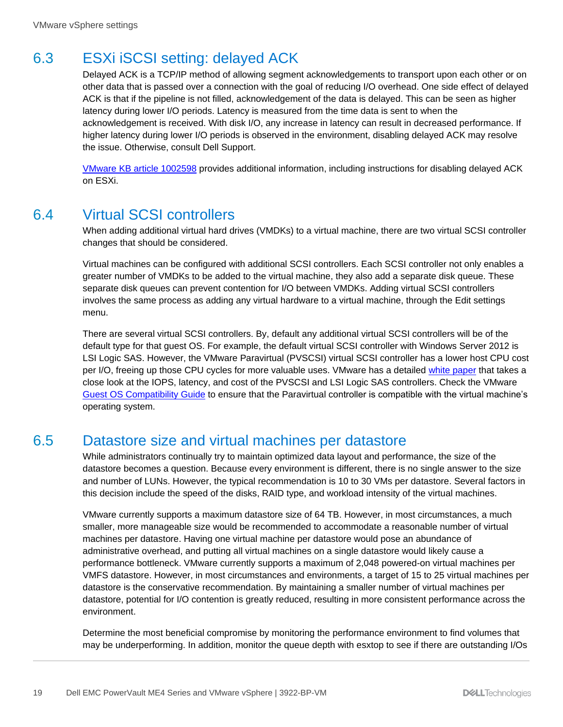### <span id="page-18-0"></span>6.3 ESXi iSCSI setting: delayed ACK

Delayed ACK is a TCP/IP method of allowing segment acknowledgements to transport upon each other or on other data that is passed over a connection with the goal of reducing I/O overhead. One side effect of delayed ACK is that if the pipeline is not filled, acknowledgement of the data is delayed. This can be seen as higher latency during lower I/O periods. Latency is measured from the time data is sent to when the acknowledgement is received. With disk I/O, any increase in latency can result in decreased performance. If higher latency during lower I/O periods is observed in the environment, disabling delayed ACK may resolve the issue. Otherwise, consult Dell Support.

[VMware KB article 1002598](https://kb.vmware.com/kb/1002598) provides additional information, including instructions for disabling delayed ACK on ESXi.

#### <span id="page-18-1"></span>6.4 Virtual SCSI controllers

When adding additional virtual hard drives (VMDKs) to a virtual machine, there are two virtual SCSI controller changes that should be considered.

Virtual machines can be configured with additional SCSI controllers. Each SCSI controller not only enables a greater number of VMDKs to be added to the virtual machine, they also add a separate disk queue. These separate disk queues can prevent contention for I/O between VMDKs. Adding virtual SCSI controllers involves the same process as adding any virtual hardware to a virtual machine, through the Edit settings menu.

There are several virtual SCSI controllers. By, default any additional virtual SCSI controllers will be of the default type for that guest OS. For example, the default virtual SCSI controller with Windows Server 2012 is LSI Logic SAS. However, the VMware Paravirtual (PVSCSI) virtual SCSI controller has a lower host CPU cost per I/O, freeing up those CPU cycles for more valuable uses. VMware has a detailed [white paper](https://www.vmware.com/content/dam/digitalmarketing/vmware/en/pdf/techpaper/1M-iops-perf-vsphere5.pdf) that takes a close look at the IOPS, latency, and cost of the PVSCSI and LSI Logic SAS controllers. Check the VMware [Guest OS Compatibility Guide](https://www.vmware.com/resources/compatibility/pdf/VMware_GOS_Compatibility_Guide.pdf) to ensure that the Paravirtual controller is compatible with the virtual machine's operating system.

### <span id="page-18-2"></span>6.5 Datastore size and virtual machines per datastore

While administrators continually try to maintain optimized data layout and performance, the size of the datastore becomes a question. Because every environment is different, there is no single answer to the size and number of LUNs. However, the typical recommendation is 10 to 30 VMs per datastore. Several factors in this decision include the speed of the disks, RAID type, and workload intensity of the virtual machines.

VMware currently supports a maximum datastore size of 64 TB. However, in most circumstances, a much smaller, more manageable size would be recommended to accommodate a reasonable number of virtual machines per datastore. Having one virtual machine per datastore would pose an abundance of administrative overhead, and putting all virtual machines on a single datastore would likely cause a performance bottleneck. VMware currently supports a maximum of 2,048 powered-on virtual machines per VMFS datastore. However, in most circumstances and environments, a target of 15 to 25 virtual machines per datastore is the conservative recommendation. By maintaining a smaller number of virtual machines per datastore, potential for I/O contention is greatly reduced, resulting in more consistent performance across the environment.

Determine the most beneficial compromise by monitoring the performance environment to find volumes that may be underperforming. In addition, monitor the queue depth with esxtop to see if there are outstanding I/Os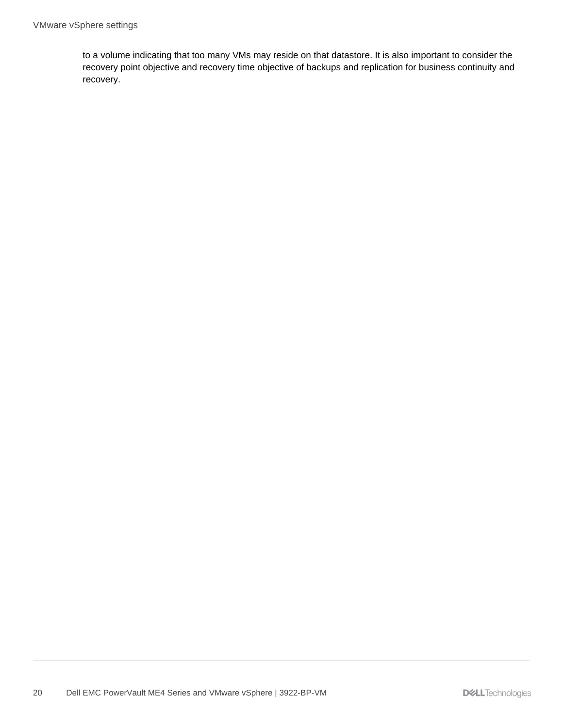to a volume indicating that too many VMs may reside on that datastore. It is also important to consider the recovery point objective and recovery time objective of backups and replication for business continuity and recovery.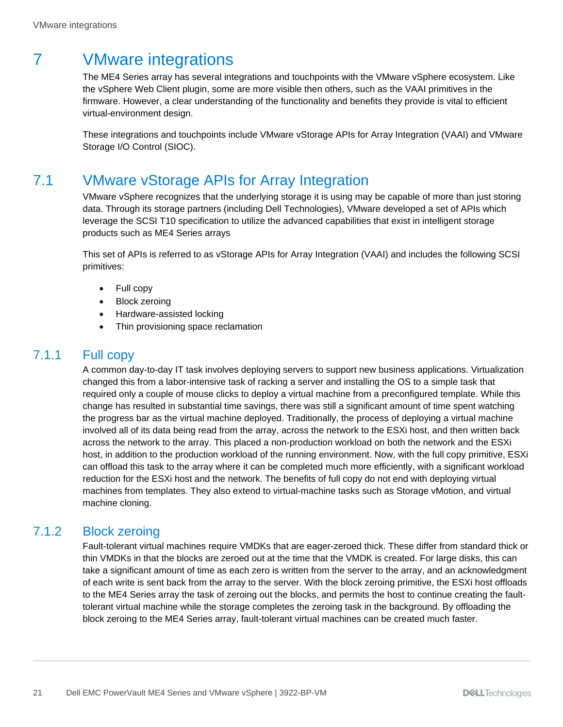## <span id="page-20-0"></span>7 VMware integrations

The ME4 Series array has several integrations and touchpoints with the VMware vSphere ecosystem. Like the vSphere Web Client plugin, some are more visible then others, such as the VAAI primitives in the firmware. However, a clear understanding of the functionality and benefits they provide is vital to efficient virtual-environment design.

These integrations and touchpoints include VMware vStorage APIs for Array Integration (VAAI) and VMware Storage I/O Control (SIOC).

### <span id="page-20-1"></span>7.1 VMware vStorage APIs for Array Integration

VMware vSphere recognizes that the underlying storage it is using may be capable of more than just storing data. Through its storage partners (including Dell Technologies), VMware developed a set of APIs which leverage the SCSI T10 specification to utilize the advanced capabilities that exist in intelligent storage products such as ME4 Series arrays

This set of APIs is referred to as vStorage APIs for Array Integration (VAAI) and includes the following SCSI primitives:

- Full copy
- Block zeroing
- Hardware-assisted locking
- Thin provisioning space reclamation

#### <span id="page-20-2"></span>7.1.1 Full copy

A common day-to-day IT task involves deploying servers to support new business applications. Virtualization changed this from a labor-intensive task of racking a server and installing the OS to a simple task that required only a couple of mouse clicks to deploy a virtual machine from a preconfigured template. While this change has resulted in substantial time savings, there was still a significant amount of time spent watching the progress bar as the virtual machine deployed. Traditionally, the process of deploying a virtual machine involved all of its data being read from the array, across the network to the ESXi host, and then written back across the network to the array. This placed a non-production workload on both the network and the ESXi host, in addition to the production workload of the running environment. Now, with the full copy primitive, ESXi can offload this task to the array where it can be completed much more efficiently, with a significant workload reduction for the ESXi host and the network. The benefits of full copy do not end with deploying virtual machines from templates. They also extend to virtual-machine tasks such as Storage vMotion, and virtual machine cloning.

#### <span id="page-20-3"></span>7.1.2 Block zeroing

Fault-tolerant virtual machines require VMDKs that are eager-zeroed thick. These differ from standard thick or thin VMDKs in that the blocks are zeroed out at the time that the VMDK is created. For large disks, this can take a significant amount of time as each zero is written from the server to the array, and an acknowledgment of each write is sent back from the array to the server. With the block zeroing primitive, the ESXi host offloads to the ME4 Series array the task of zeroing out the blocks, and permits the host to continue creating the faulttolerant virtual machine while the storage completes the zeroing task in the background. By offloading the block zeroing to the ME4 Series array, fault-tolerant virtual machines can be created much faster.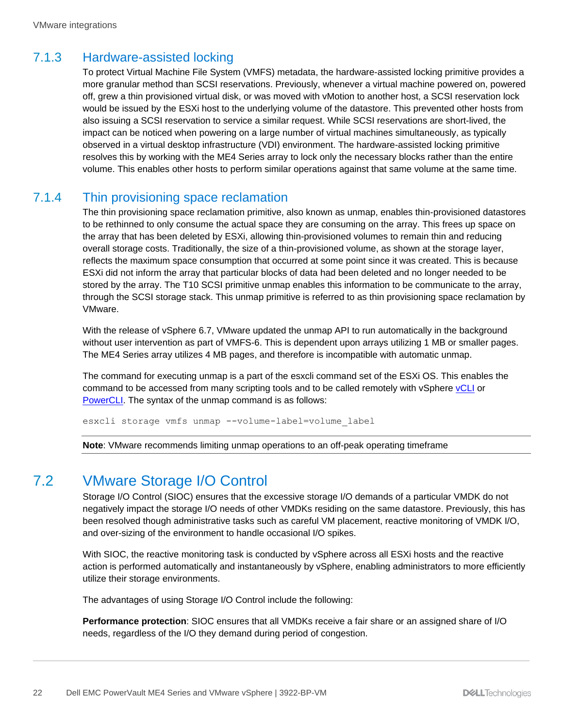#### <span id="page-21-0"></span>7.1.3 Hardware-assisted locking

To protect Virtual Machine File System (VMFS) metadata, the hardware-assisted locking primitive provides a more granular method than SCSI reservations. Previously, whenever a virtual machine powered on, powered off, grew a thin provisioned virtual disk, or was moved with vMotion to another host, a SCSI reservation lock would be issued by the ESXi host to the underlying volume of the datastore. This prevented other hosts from also issuing a SCSI reservation to service a similar request. While SCSI reservations are short-lived, the impact can be noticed when powering on a large number of virtual machines simultaneously, as typically observed in a virtual desktop infrastructure (VDI) environment. The hardware-assisted locking primitive resolves this by working with the ME4 Series array to lock only the necessary blocks rather than the entire volume. This enables other hosts to perform similar operations against that same volume at the same time.

#### <span id="page-21-1"></span>7.1.4 Thin provisioning space reclamation

The thin provisioning space reclamation primitive, also known as unmap, enables thin-provisioned datastores to be rethinned to only consume the actual space they are consuming on the array. This frees up space on the array that has been deleted by ESXi, allowing thin-provisioned volumes to remain thin and reducing overall storage costs. Traditionally, the size of a thin-provisioned volume, as shown at the storage layer, reflects the maximum space consumption that occurred at some point since it was created. This is because ESXi did not inform the array that particular blocks of data had been deleted and no longer needed to be stored by the array. The T10 SCSI primitive unmap enables this information to be communicate to the array, through the SCSI storage stack. This unmap primitive is referred to as thin provisioning space reclamation by VMware.

With the release of vSphere 6.7, VMware updated the unmap API to run automatically in the background without user intervention as part of VMFS-6. This is dependent upon arrays utilizing 1 MB or smaller pages. The ME4 Series array utilizes 4 MB pages, and therefore is incompatible with automatic unmap.

The command for executing unmap is a part of the esxcli command set of the ESXi OS. This enables the command to be accessed from many scripting tools and to be called remotely with vSphere [vCLI](https://code.vmware.com/web/dp/tool/vsphere-cli) or [PowerCLI.](https://code.vmware.com/web/dp/tool/vmware-powercli/) The syntax of the unmap command is as follows:

esxcli storage vmfs unmap --volume-label=volume\_label

**Note**: VMware recommends limiting unmap operations to an off-peak operating timeframe

### <span id="page-21-2"></span>7.2 VMware Storage I/O Control

Storage I/O Control (SIOC) ensures that the excessive storage I/O demands of a particular VMDK do not negatively impact the storage I/O needs of other VMDKs residing on the same datastore. Previously, this has been resolved though administrative tasks such as careful VM placement, reactive monitoring of VMDK I/O, and over-sizing of the environment to handle occasional I/O spikes.

With SIOC, the reactive monitoring task is conducted by vSphere across all ESXi hosts and the reactive action is performed automatically and instantaneously by vSphere, enabling administrators to more efficiently utilize their storage environments.

The advantages of using Storage I/O Control include the following:

**Performance protection**: SIOC ensures that all VMDKs receive a fair share or an assigned share of I/O needs, regardless of the I/O they demand during period of congestion.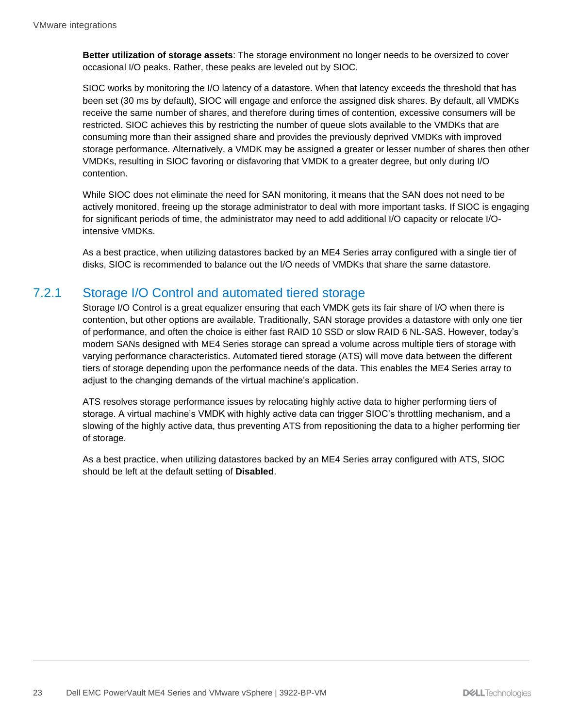**Better utilization of storage assets**: The storage environment no longer needs to be oversized to cover occasional I/O peaks. Rather, these peaks are leveled out by SIOC.

SIOC works by monitoring the I/O latency of a datastore. When that latency exceeds the threshold that has been set (30 ms by default), SIOC will engage and enforce the assigned disk shares. By default, all VMDKs receive the same number of shares, and therefore during times of contention, excessive consumers will be restricted. SIOC achieves this by restricting the number of queue slots available to the VMDKs that are consuming more than their assigned share and provides the previously deprived VMDKs with improved storage performance. Alternatively, a VMDK may be assigned a greater or lesser number of shares then other VMDKs, resulting in SIOC favoring or disfavoring that VMDK to a greater degree, but only during I/O contention.

While SIOC does not eliminate the need for SAN monitoring, it means that the SAN does not need to be actively monitored, freeing up the storage administrator to deal with more important tasks. If SIOC is engaging for significant periods of time, the administrator may need to add additional I/O capacity or relocate I/Ointensive VMDKs.

As a best practice, when utilizing datastores backed by an ME4 Series array configured with a single tier of disks, SIOC is recommended to balance out the I/O needs of VMDKs that share the same datastore.

#### <span id="page-22-0"></span>7.2.1 Storage I/O Control and automated tiered storage

Storage I/O Control is a great equalizer ensuring that each VMDK gets its fair share of I/O when there is contention, but other options are available. Traditionally, SAN storage provides a datastore with only one tier of performance, and often the choice is either fast RAID 10 SSD or slow RAID 6 NL-SAS. However, today's modern SANs designed with ME4 Series storage can spread a volume across multiple tiers of storage with varying performance characteristics. Automated tiered storage (ATS) will move data between the different tiers of storage depending upon the performance needs of the data. This enables the ME4 Series array to adjust to the changing demands of the virtual machine's application.

ATS resolves storage performance issues by relocating highly active data to higher performing tiers of storage. A virtual machine's VMDK with highly active data can trigger SIOC's throttling mechanism, and a slowing of the highly active data, thus preventing ATS from repositioning the data to a higher performing tier of storage.

As a best practice, when utilizing datastores backed by an ME4 Series array configured with ATS, SIOC should be left at the default setting of **Disabled**.